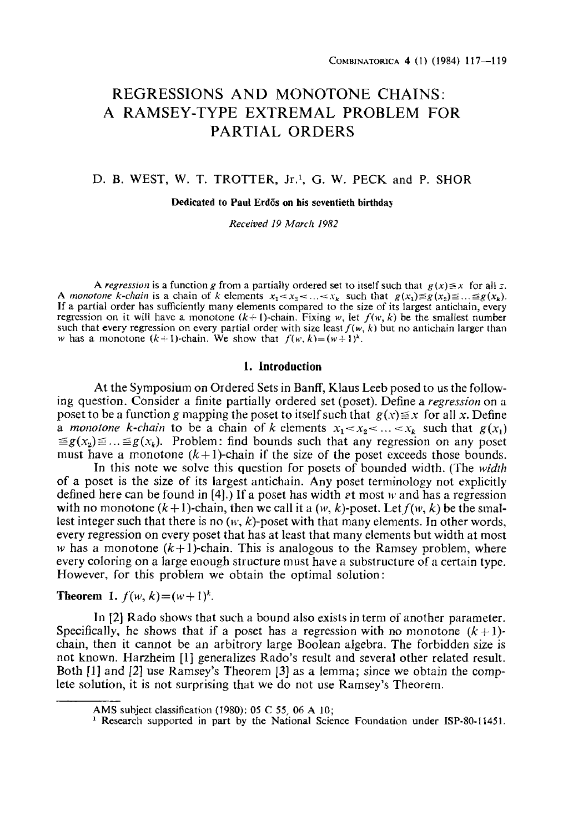# **REGRESSIONS AND MONOTONE CHAINS: A RAMSEY-TYPE EXTREMAL PROBLEM FOR PARTIAL ORDERS**

# D. B. WEST, W. T. TROTTER, Jr.<sup>1</sup>, G. W. PECK and P. SHOR

#### **Dedicated to Paul Erd6s on his seventieth birthday**

*Received 19 March 1982* 

*A regression* is a function g from a partially ordered set to itself such that  $g(x) \leq x$  for all z. *A monotone k-chain* is a chain of k elements  $x_1 < x_2 < ... < x_k$  such that  $g(x_1) \leq g(x_2) \leq ... \leq g(x_k)$ . If a partial order has sufficiently many elements compared to the size of its largest antichain, every regression on it will have a monotone  $(k + 1)$ -chain. Fixing w, let  $f(w, k)$  be the smallest number such that every regression on every partial order with size least  $f(w, k)$  but no antichain larger than w has a monotone  $(k+1)$ -chain. We show that  $f(w, k)=(w+1)^k$ .

## **1. Introduction**

At the Symposium on Ordered Sets in Banff, Klaus Leeb posed to us the following question. Consider a finite partially ordered set (poset). Define a *regression* on a poset to be a function g mapping the poset to itself such that  $g(x) \le x$  for all x. Define *a monotone k-chain* to be a chain of k elements  $x_1 < x_2 < ... < x_k$  such that  $g(x_1)$  $\leq g(x_n) \leq ... \leq g(x_k)$ . Problem: find bounds such that any regression on any poset must have a monotone  $(k+1)$ -chain if the size of the poset exceeds those bounds.

In this note we solve this question for posets of bounded width. (The *width*  of a poset is the size of its largest antichain. Any poser terminology not explicitly defined here can be found in [4].) If a poset has width et most w and has a regression with no monotone  $(k+1)$ -chain, then we call it a  $(w, k)$ -poset. Let  $f(w, k)$  be the smallest integer such that there is no  $(w, k)$ -poset with that many elements. In other words, every regression on every poset that has at least that many elements but width at most w has a monotone  $(k+1)$ -chain. This is analogous to the Ramsey problem, where every coloring on a large enough structure must have a substructure of a certain type. However, for this problem we obtain the optimal solution:

**Theorem 1.**  $f(w, k) = (w + 1)^k$ .

In [2] Rado shows that such a bound also exists in term of another parameter. Specifically, he shows that if a poset has a regression with no monotone  $(k+1)$ chain, then it cannot be an arbitrory large Boolean algebra. The forbidden size is not known. Harzheim [1] generalizes Rado's result and several other related result. Both [1] and [2] use Ramsey's Theorem [3] as a lemma; since we obtain the complete solution, it is not surprising that we do not use Ramsey's Theorem.

AMS subject classification (1980): 05 C 55, 06 A 10;

<sup>&</sup>lt;sup>1</sup> Research supported in part by the National Science Foundation under ISP-80-11451.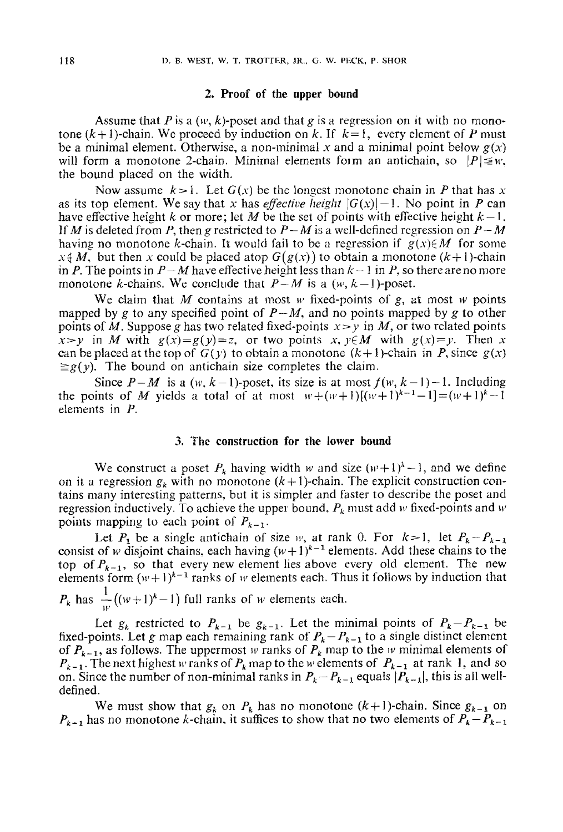## **2. Proof of the upper bound**

Assume that P is a  $(w, k)$ -poset and that g is a regression on it with no monotone  $(k+1)$ -chain. We proceed by induction on k. If  $k=1$ , every element of P must be a minimal element. Otherwise, a non-minimal x and a minimal point below  $g(x)$ will form a monotone 2-chain. Minimal elements form an antichain, so  $|P| \leq w$ , the bound placed on the width.

Now assume  $k>1$ . Let  $G(x)$  be the longest monotone chain in P that has x as its top element. We say that x has *effective height*  $|G(x)|-1$ . No point in P can have effective height k or more; let M be the set of points with effective height  $k-1$ . If M is deleted from P, then g restricted to  $P-M$  is a well-defined regression on  $P-M$ having no monotone k-chain. It would fail to be a regression if  $g(x) \in M$  for some  $x \notin M$ , but then x could be placed atop  $G(g(x))$  to obtain a monotone  $(k+1)$ -chain in P. The points in  $P-M$  have effective height less than  $k-1$  in P, so there are no more monotone *k*-chains. We conclude that  $P-M$  is a  $(w, k-1)$ -poset.

We claim that M contains at most  $w$  fixed-points of g, at most  $w$  points mapped by g to any specified point of  $P-M$ , and no points mapped by g to other points of M. Suppose g has two related fixed-points  $x \rightarrow y$  in M, or two related points  $x \rightarrow y$  in *M* with  $g(x)=g(y)=z$ , or two points x,  $y \in M$  with  $g(x)=y$ . Then x can be placed at the top of  $G(y)$  to obtain a monotone  $(k+1)$ -chain in P, since  $g(x)$  $\geq g(y)$ . The bound on antichain size completes the claim.

Since  $P-M$  is a  $(w, k-1)$ -poset, its size is at most  $f(w, k-1)-1$ . Including the points of M yields a total of at most  $w+(w+1)[(w+1)^{k-1}-1]=(w+1)^{k}-1$ elements in P.

## 3. "Fhe construction for the lower bound

We construct a poset  $P_k$  having width w and size  $(w+1)^k-1$ , and we define on it a regression  $g_k$  with no monotone  $(k+1)$ -chain. The explicit construction contains many interesting patterns, but it is simpler and faster to describe the poser and regression inductively. To achieve the upper bound,  $P_k$  must add w fixed-points and w points mapping to each point of  $P_{k-1}$ .

Let  $P_1$  be a single antichain of size  $w$ , at rank 0. For  $k>1$ , let  $P_k-P_{k-1}$ consist of w disjoint chains, each having  $(w+1)^{k-1}$  elements. Add these chains to the top of  $P_{k-1}$ , so that every new element lies above every old element. The new elements form  $(w+1)^{k-1}$  ranks of w elements each. Thus it follows by induction that  $P_k$  has  $\frac{1}{w}((w+1)^k-1)$  full ranks of w elements each.

Let  $g_k$  restricted to  $P_{k-1}$  be  $g_{k-1}$ . Let the minimal points of  $P_k-P_{k-1}$  be fixed-points. Let g map each remaining rank of  $P_k - P_{k-1}$  to a single distinct element of  $P_{k-1}$ , as follows. The uppermost w ranks of  $P_k$  map to the w minimal elements of  $P_{k-1}$ . The next highest w ranks of  $P_k$  map to the w elements of  $P_{k-1}$  at rank 1, and so on. Since the number of non-minimal ranks in  $P_k-P_{k-1}$  equals  $|P_{k-1}|$ , this is all welldefined.

We must show that  $g_k$  on  $P_k$  has no monotone  $(k+1)$ -chain. Since  $g_{k-1}$  on  $P_{k-1}$  has no monotone k-chain, it suffices to show that no two elements of  $P_k-P_{k-1}$